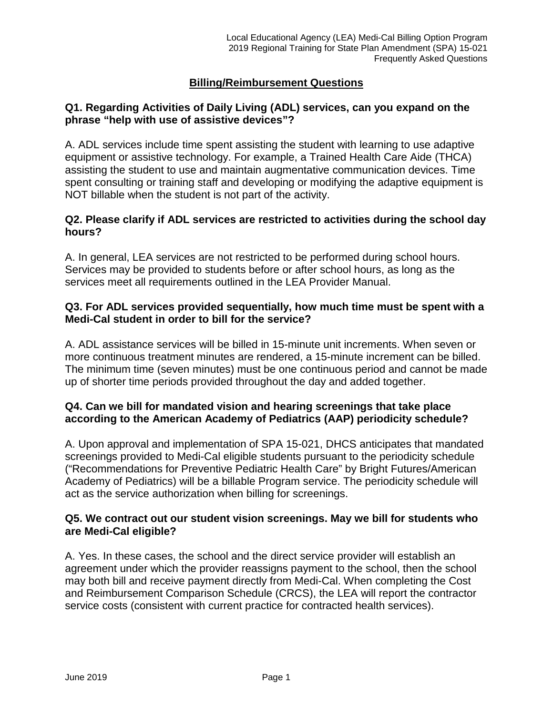# **Billing/Reimbursement Questions**

## **Q1. Regarding Activities of Daily Living (ADL) services, can you expand on the phrase "help with use of assistive devices"?**

A. ADL services include time spent assisting the student with learning to use adaptive equipment or assistive technology. For example, a Trained Health Care Aide (THCA) assisting the student to use and maintain augmentative communication devices. Time spent consulting or training staff and developing or modifying the adaptive equipment is NOT billable when the student is not part of the activity.

### **Q2. Please clarify if ADL services are restricted to activities during the school day hours?**

A. In general, LEA services are not restricted to be performed during school hours. Services may be provided to students before or after school hours, as long as the services meet all requirements outlined in the LEA Provider Manual.

### **Q3. For ADL services provided sequentially, how much time must be spent with a Medi-Cal student in order to bill for the service?**

A. ADL assistance services will be billed in 15-minute unit increments. When seven or more continuous treatment minutes are rendered, a 15-minute increment can be billed. The minimum time (seven minutes) must be one continuous period and cannot be made up of shorter time periods provided throughout the day and added together.

## **Q4. Can we bill for mandated vision and hearing screenings that take place according to the American Academy of Pediatrics (AAP) periodicity schedule?**

A. Upon approval and implementation of SPA 15-021, DHCS anticipates that mandated screenings provided to Medi-Cal eligible students pursuant to the periodicity schedule ("Recommendations for Preventive Pediatric Health Care" by Bright Futures/American Academy of Pediatrics) will be a billable Program service. The periodicity schedule will act as the service authorization when billing for screenings.

## **Q5. We contract out our student vision screenings. May we bill for students who are Medi-Cal eligible?**

A. Yes. In these cases, the school and the direct service provider will establish an agreement under which the provider reassigns payment to the school, then the school may both bill and receive payment directly from Medi-Cal. When completing the Cost and Reimbursement Comparison Schedule (CRCS), the LEA will report the contractor service costs (consistent with current practice for contracted health services).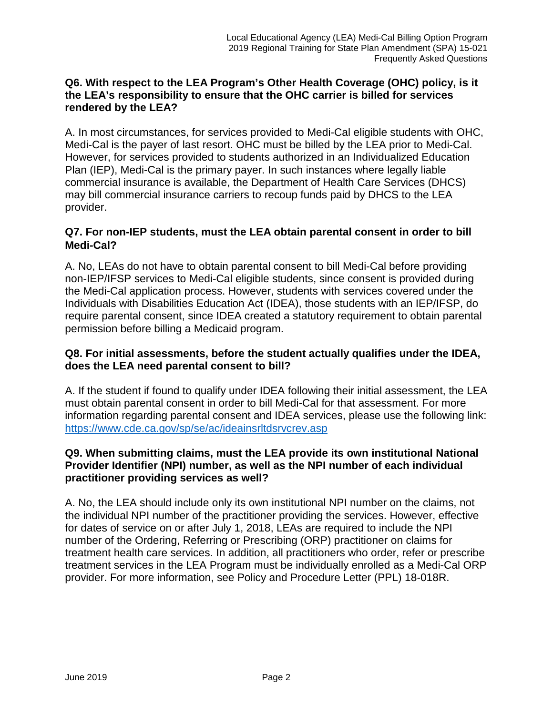### **Q6. With respect to the LEA Program's Other Health Coverage (OHC) policy, is it the LEA's responsibility to ensure that the OHC carrier is billed for services rendered by the LEA?**

A. In most circumstances, for services provided to Medi-Cal eligible students with OHC, Medi-Cal is the payer of last resort. OHC must be billed by the LEA prior to Medi-Cal. However, for services provided to students authorized in an Individualized Education Plan (IEP), Medi-Cal is the primary payer. In such instances where legally liable commercial insurance is available, the Department of Health Care Services (DHCS) may bill commercial insurance carriers to recoup funds paid by DHCS to the LEA provider.

# **Q7. For non-IEP students, must the LEA obtain parental consent in order to bill Medi-Cal?**

A. No, LEAs do not have to obtain parental consent to bill Medi-Cal before providing non-IEP/IFSP services to Medi-Cal eligible students, since consent is provided during the Medi-Cal application process. However, students with services covered under the Individuals with Disabilities Education Act (IDEA), those students with an IEP/IFSP, do require parental consent, since IDEA created a statutory requirement to obtain parental permission before billing a Medicaid program.

# **Q8. For initial assessments, before the student actually qualifies under the IDEA, does the LEA need parental consent to bill?**

A. If the student if found to qualify under IDEA following their initial assessment, the LEA must obtain parental consent in order to bill Medi-Cal for that assessment. For more information regarding parental consent and IDEA services, please use the following link: <https://www.cde.ca.gov/sp/se/ac/ideainsrltdsrvcrev.asp>

# **Q9. When submitting claims, must the LEA provide its own institutional National Provider Identifier (NPI) number, as well as the NPI number of each individual practitioner providing services as well?**

A. No, the LEA should include only its own institutional NPI number on the claims, not the individual NPI number of the practitioner providing the services. However, effective for dates of service on or after July 1, 2018, LEAs are required to include the NPI number of the Ordering, Referring or Prescribing (ORP) practitioner on claims for treatment health care services. In addition, all practitioners who order, refer or prescribe treatment services in the LEA Program must be individually enrolled as a Medi-Cal ORP provider. For more information, see Policy and Procedure Letter (PPL) 18-018R.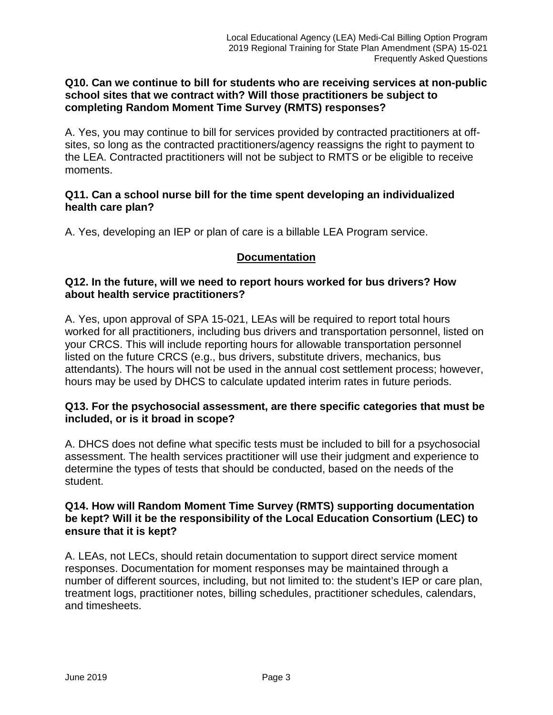### **Q10. Can we continue to bill for students who are receiving services at non-public school sites that we contract with? Will those practitioners be subject to completing Random Moment Time Survey (RMTS) responses?**

A. Yes, you may continue to bill for services provided by contracted practitioners at offsites, so long as the contracted practitioners/agency reassigns the right to payment to the LEA. Contracted practitioners will not be subject to RMTS or be eligible to receive moments.

## **Q11. Can a school nurse bill for the time spent developing an individualized health care plan?**

A. Yes, developing an IEP or plan of care is a billable LEA Program service.

## **Documentation**

### **Q12. In the future, will we need to report hours worked for bus drivers? How about health service practitioners?**

A. Yes, upon approval of SPA 15-021, LEAs will be required to report total hours worked for all practitioners, including bus drivers and transportation personnel, listed on your CRCS. This will include reporting hours for allowable transportation personnel listed on the future CRCS (e.g., bus drivers, substitute drivers, mechanics, bus attendants). The hours will not be used in the annual cost settlement process; however, hours may be used by DHCS to calculate updated interim rates in future periods.

### **Q13. For the psychosocial assessment, are there specific categories that must be included, or is it broad in scope?**

A. DHCS does not define what specific tests must be included to bill for a psychosocial assessment. The health services practitioner will use their judgment and experience to determine the types of tests that should be conducted, based on the needs of the student.

## **Q14. How will Random Moment Time Survey (RMTS) supporting documentation be kept? Will it be the responsibility of the Local Education Consortium (LEC) to ensure that it is kept?**

A. LEAs, not LECs, should retain documentation to support direct service moment responses. Documentation for moment responses may be maintained through a number of different sources, including, but not limited to: the student's IEP or care plan, treatment logs, practitioner notes, billing schedules, practitioner schedules, calendars, and timesheets.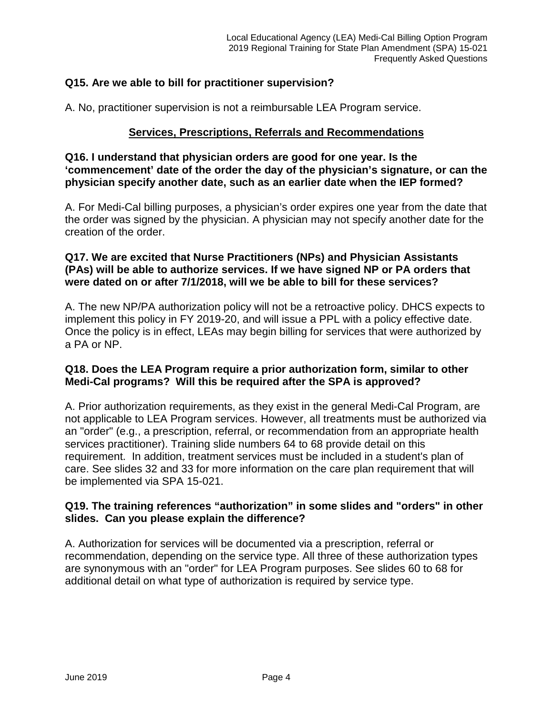### **Q15. Are we able to bill for practitioner supervision?**

A. No, practitioner supervision is not a reimbursable LEA Program service.

#### **Services, Prescriptions, Referrals and Recommendations**

**Q16. I understand that physician orders are good for one year. Is the 'commencement' date of the order the day of the physician's signature, or can the physician specify another date, such as an earlier date when the IEP formed?**

A. For Medi-Cal billing purposes, a physician's order expires one year from the date that the order was signed by the physician. A physician may not specify another date for the creation of the order.

### **Q17. We are excited that Nurse Practitioners (NPs) and Physician Assistants (PAs) will be able to authorize services. If we have signed NP or PA orders that were dated on or after 7/1/2018, will we be able to bill for these services?**

A. The new NP/PA authorization policy will not be a retroactive policy. DHCS expects to implement this policy in FY 2019-20, and will issue a PPL with a policy effective date. Once the policy is in effect, LEAs may begin billing for services that were authorized by a PA or NP.

### **Q18. Does the LEA Program require a prior authorization form, similar to other Medi-Cal programs? Will this be required after the SPA is approved?**

A. Prior authorization requirements, as they exist in the general Medi-Cal Program, are not applicable to LEA Program services. However, all treatments must be authorized via an "order" (e.g., a prescription, referral, or recommendation from an appropriate health services practitioner). Training slide numbers 64 to 68 provide detail on this requirement. In addition, treatment services must be included in a student's plan of care. See slides 32 and 33 for more information on the care plan requirement that will be implemented via SPA 15-021.

## **Q19. The training references "authorization" in some slides and "orders" in other slides. Can you please explain the difference?**

A. Authorization for services will be documented via a prescription, referral or recommendation, depending on the service type. All three of these authorization types are synonymous with an "order" for LEA Program purposes. See slides 60 to 68 for additional detail on what type of authorization is required by service type.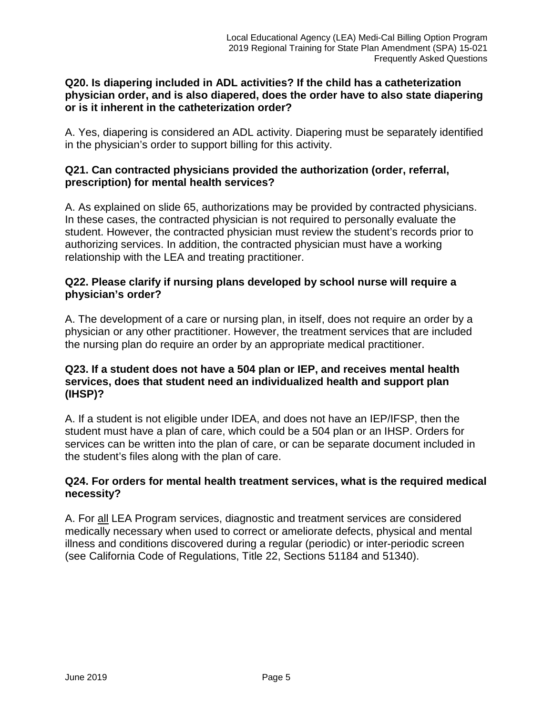### **Q20. Is diapering included in ADL activities? If the child has a catheterization physician order, and is also diapered, does the order have to also state diapering or is it inherent in the catheterization order?**

A. Yes, diapering is considered an ADL activity. Diapering must be separately identified in the physician's order to support billing for this activity.

## **Q21. Can contracted physicians provided the authorization (order, referral, prescription) for mental health services?**

A. As explained on slide 65, authorizations may be provided by contracted physicians. In these cases, the contracted physician is not required to personally evaluate the student. However, the contracted physician must review the student's records prior to authorizing services. In addition, the contracted physician must have a working relationship with the LEA and treating practitioner.

## **Q22. Please clarify if nursing plans developed by school nurse will require a physician's order?**

A. The development of a care or nursing plan, in itself, does not require an order by a physician or any other practitioner. However, the treatment services that are included the nursing plan do require an order by an appropriate medical practitioner.

## **Q23. If a student does not have a 504 plan or IEP, and receives mental health services, does that student need an individualized health and support plan (IHSP)?**

A. If a student is not eligible under IDEA, and does not have an IEP/IFSP, then the student must have a plan of care, which could be a 504 plan or an IHSP. Orders for services can be written into the plan of care, or can be separate document included in the student's files along with the plan of care.

# **Q24. For orders for mental health treatment services, what is the required medical necessity?**

A. For all LEA Program services, diagnostic and treatment services are considered medically necessary when used to correct or ameliorate defects, physical and mental illness and conditions discovered during a regular (periodic) or inter-periodic screen (see California Code of Regulations, Title 22, Sections 51184 and 51340).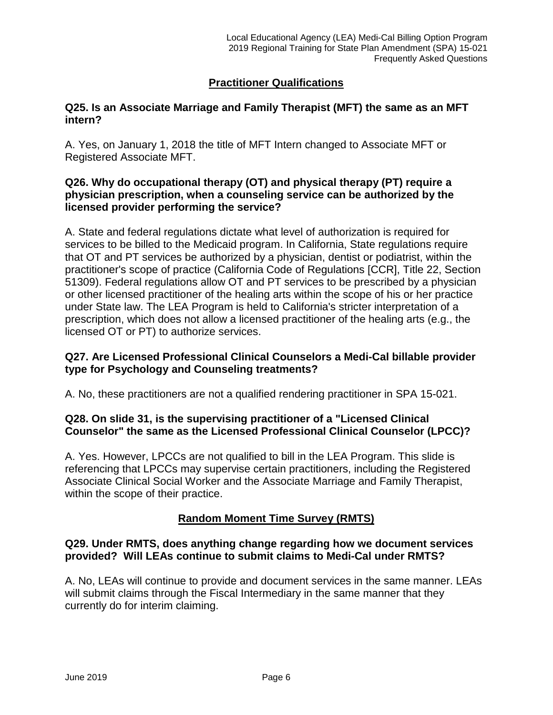# **Practitioner Qualifications**

## **Q25. Is an Associate Marriage and Family Therapist (MFT) the same as an MFT intern?**

A. Yes, on January 1, 2018 the title of MFT Intern changed to Associate MFT or Registered Associate MFT.

### **Q26. Why do occupational therapy (OT) and physical therapy (PT) require a physician prescription, when a counseling service can be authorized by the licensed provider performing the service?**

A. State and federal regulations dictate what level of authorization is required for services to be billed to the Medicaid program. In California, State regulations require that OT and PT services be authorized by a physician, dentist or podiatrist, within the practitioner's scope of practice (California Code of Regulations [CCR], Title 22, Section 51309). Federal regulations allow OT and PT services to be prescribed by a physician or other licensed practitioner of the healing arts within the scope of his or her practice under State law. The LEA Program is held to California's stricter interpretation of a prescription, which does not allow a licensed practitioner of the healing arts (e.g., the licensed OT or PT) to authorize services.

# **Q27. Are Licensed Professional Clinical Counselors a Medi-Cal billable provider type for Psychology and Counseling treatments?**

A. No, these practitioners are not a qualified rendering practitioner in SPA 15-021.

## **Q28. On slide 31, is the supervising practitioner of a "Licensed Clinical Counselor" the same as the Licensed Professional Clinical Counselor (LPCC)?**

A. Yes. However, LPCCs are not qualified to bill in the LEA Program. This slide is referencing that LPCCs may supervise certain practitioners, including the Registered Associate Clinical Social Worker and the Associate Marriage and Family Therapist, within the scope of their practice.

## **Random Moment Time Survey (RMTS)**

## **Q29. Under RMTS, does anything change regarding how we document services provided? Will LEAs continue to submit claims to Medi-Cal under RMTS?**

A. No, LEAs will continue to provide and document services in the same manner. LEAs will submit claims through the Fiscal Intermediary in the same manner that they currently do for interim claiming.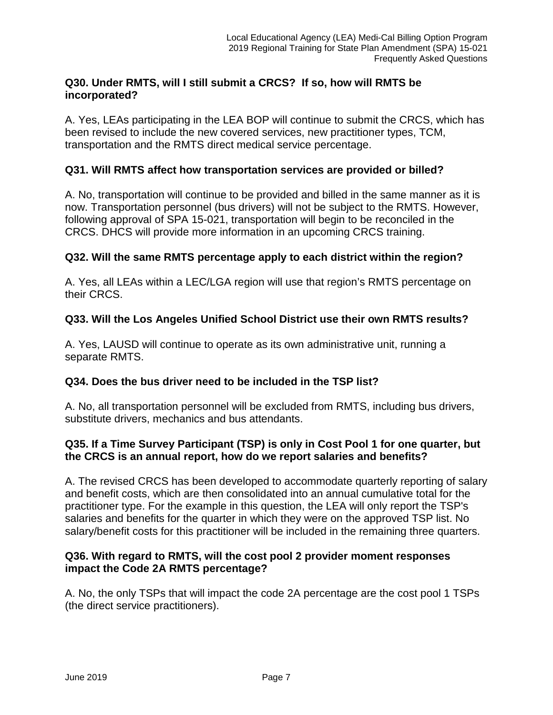## **Q30. Under RMTS, will I still submit a CRCS? If so, how will RMTS be incorporated?**

A. Yes, LEAs participating in the LEA BOP will continue to submit the CRCS, which has been revised to include the new covered services, new practitioner types, TCM, transportation and the RMTS direct medical service percentage.

## **Q31. Will RMTS affect how transportation services are provided or billed?**

A. No, transportation will continue to be provided and billed in the same manner as it is now. Transportation personnel (bus drivers) will not be subject to the RMTS. However, following approval of SPA 15-021, transportation will begin to be reconciled in the CRCS. DHCS will provide more information in an upcoming CRCS training.

## **Q32. Will the same RMTS percentage apply to each district within the region?**

A. Yes, all LEAs within a LEC/LGA region will use that region's RMTS percentage on their CRCS.

## **Q33. Will the Los Angeles Unified School District use their own RMTS results?**

A. Yes, LAUSD will continue to operate as its own administrative unit, running a separate RMTS.

## **Q34. Does the bus driver need to be included in the TSP list?**

A. No, all transportation personnel will be excluded from RMTS, including bus drivers, substitute drivers, mechanics and bus attendants.

## **Q35. If a Time Survey Participant (TSP) is only in Cost Pool 1 for one quarter, but the CRCS is an annual report, how do we report salaries and benefits?**

A. The revised CRCS has been developed to accommodate quarterly reporting of salary and benefit costs, which are then consolidated into an annual cumulative total for the practitioner type. For the example in this question, the LEA will only report the TSP's salaries and benefits for the quarter in which they were on the approved TSP list. No salary/benefit costs for this practitioner will be included in the remaining three quarters.

### **Q36. With regard to RMTS, will the cost pool 2 provider moment responses impact the Code 2A RMTS percentage?**

A. No, the only TSPs that will impact the code 2A percentage are the cost pool 1 TSPs (the direct service practitioners).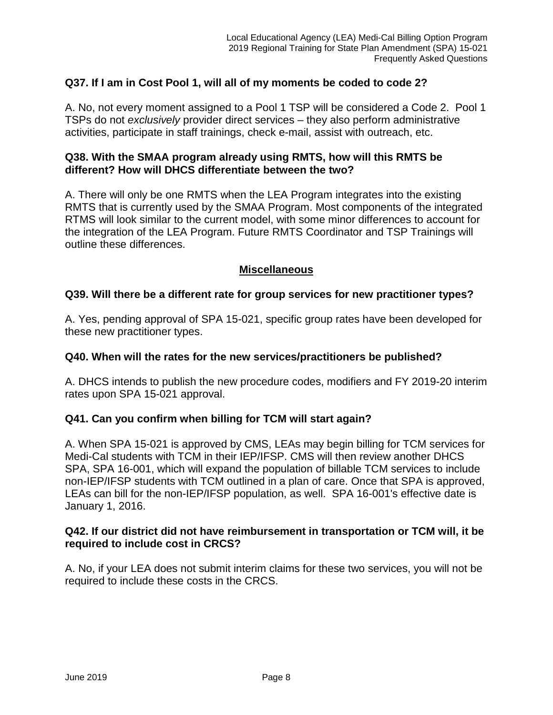# **Q37. If I am in Cost Pool 1, will all of my moments be coded to code 2?**

A. No, not every moment assigned to a Pool 1 TSP will be considered a Code 2. Pool 1 TSPs do not *exclusively* provider direct services – they also perform administrative activities, participate in staff trainings, check e-mail, assist with outreach, etc.

#### **Q38. With the SMAA program already using RMTS, how will this RMTS be different? How will DHCS differentiate between the two?**

A. There will only be one RMTS when the LEA Program integrates into the existing RMTS that is currently used by the SMAA Program. Most components of the integrated RTMS will look similar to the current model, with some minor differences to account for the integration of the LEA Program. Future RMTS Coordinator and TSP Trainings will outline these differences.

### **Miscellaneous**

### **Q39. Will there be a different rate for group services for new practitioner types?**

A. Yes, pending approval of SPA 15-021, specific group rates have been developed for these new practitioner types.

#### **Q40. When will the rates for the new services/practitioners be published?**

A. DHCS intends to publish the new procedure codes, modifiers and FY 2019-20 interim rates upon SPA 15-021 approval.

#### **Q41. Can you confirm when billing for TCM will start again?**

A. When SPA 15-021 is approved by CMS, LEAs may begin billing for TCM services for Medi-Cal students with TCM in their IEP/IFSP. CMS will then review another DHCS SPA, SPA 16-001, which will expand the population of billable TCM services to include non-IEP/IFSP students with TCM outlined in a plan of care. Once that SPA is approved, LEAs can bill for the non-IEP/IFSP population, as well. SPA 16-001's effective date is January 1, 2016.

#### **Q42. If our district did not have reimbursement in transportation or TCM will, it be required to include cost in CRCS?**

A. No, if your LEA does not submit interim claims for these two services, you will not be required to include these costs in the CRCS.